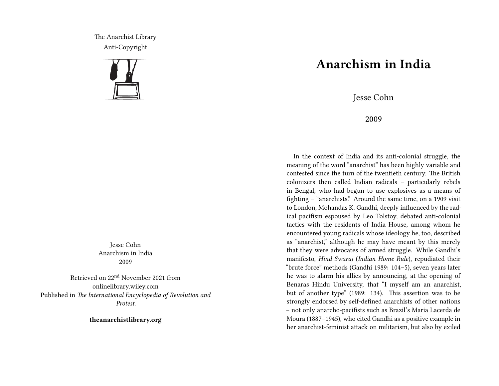The Anarchist Library Anti-Copyright



Jesse Cohn Anarchism in India 2009

Retrieved on 22nd November 2021 from onlinelibrary.wiley.com Published in *The International Encyclopedia of Revolution and Protest.*

**theanarchistlibrary.org**

## **Anarchism in India**

Jesse Cohn

2009

In the context of India and its anti-colonial struggle, the meaning of the word "anarchist" has been highly variable and contested since the turn of the twentieth century. The British colonizers then called Indian radicals – particularly rebels in Bengal, who had begun to use explosives as a means of fighting – "anarchists." Around the same time, on a 1909 visit to London, Mohandas K. Gandhi, deeply influenced by the radical pacifism espoused by Leo Tolstoy, debated anti-colonial tactics with the residents of India House, among whom he encountered young radicals whose ideology he, too, described as "anarchist," although he may have meant by this merely that they were advocates of armed struggle. While Gandhi's manifesto, *Hind Swaraj* (*Indian Home Rule*), repudiated their "brute force" methods (Gandhi 1989: 104–5), seven years later he was to alarm his allies by announcing, at the opening of Benaras Hindu University, that "I myself am an anarchist, but of another type" (1989: 134). This assertion was to be strongly endorsed by self-defined anarchists of other nations – not only anarcho-pacifists such as Brazil's Maria Lacerda de Moura (1887–1945), who cited Gandhi as a positive example in her anarchist-feminist attack on militarism, but also by exiled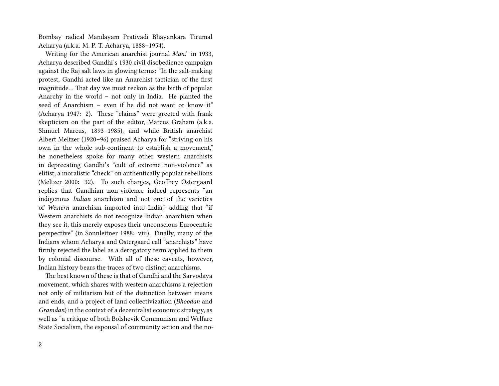Bombay radical Mandayam Prativadi Bhayankara Tirumal Acharya (a.k.a. M. P. T. Acharya, 1888–1954).

Writing for the American anarchist journal *Man!* in 1933, Acharya described Gandhi's 1930 civil disobedience campaign against the Raj salt laws in glowing terms: "In the salt-making protest, Gandhi acted like an Anarchist tactician of the first magnitude… That day we must reckon as the birth of popular Anarchy in the world – not only in India. He planted the seed of Anarchism – even if he did not want or know it" (Acharya 1947: 2). These "claims" were greeted with frank skepticism on the part of the editor, Marcus Graham (a.k.a. Shmuel Marcus, 1893–1985), and while British anarchist Albert Meltzer (1920–96) praised Acharya for "striving on his own in the whole sub-continent to establish a movement," he nonetheless spoke for many other western anarchists in deprecating Gandhi's "cult of extreme non-violence" as elitist, a moralistic "check" on authentically popular rebellions (Meltzer 2000: 32). To such charges, Geoffrey Ostergaard replies that Gandhian non-violence indeed represents "an indigenous *Indian* anarchism and not one of the varieties of *Western* anarchism imported into India," adding that "if Western anarchists do not recognize Indian anarchism when they see it, this merely exposes their unconscious Eurocentric perspective" (in Sonnleitner 1988: viii). Finally, many of the Indians whom Acharya and Ostergaard call "anarchists" have firmly rejected the label as a derogatory term applied to them by colonial discourse. With all of these caveats, however, Indian history bears the traces of two distinct anarchisms.

The best known of these is that of Gandhi and the Sarvodaya movement, which shares with western anarchisms a rejection not only of militarism but of the distinction between means and ends, and a project of land collectivization (*Bhoodan* and *Gramdan*) in the context of a decentralist economic strategy, as well as "a critique of both Bolshevik Communism and Welfare State Socialism, the espousal of community action and the no-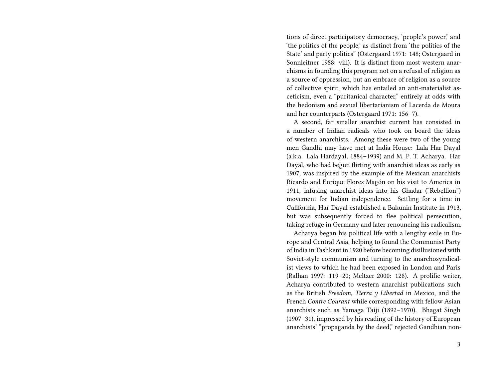tions of direct participatory democracy, 'people's power,' and 'the politics of the people,' as distinct from 'the politics of the State' and party politics" (Ostergaard 1971: 148; Ostergaard in Sonnleitner 1988: viii). It is distinct from most western anarchisms in founding this program not on a refusal of religion as a source of oppression, but an embrace of religion as a source of collective spirit, which has entailed an anti-materialist asceticism, even a "puritanical character," entirely at odds with the hedonism and sexual libertarianism of Lacerda de Moura and her counterparts (Ostergaard 1971: 156–7).

A second, far smaller anarchist current has consisted in a number of Indian radicals who took on board the ideas of western anarchists. Among these were two of the young men Gandhi may have met at India House: Lala Har Dayal (a.k.a. Lala Hardayal, 1884–1939) and M. P. T. Acharya. Har Dayal, who had begun flirting with anarchist ideas as early as 1907, was inspired by the example of the Mexican anarchists Ricardo and Enrique Flores Magón on his visit to America in 1911, infusing anarchist ideas into his Ghadar ("Rebellion") movement for Indian independence. Settling for a time in California, Har Dayal established a Bakunin Institute in 1913, but was subsequently forced to flee political persecution, taking refuge in Germany and later renouncing his radicalism.

Acharya began his political life with a lengthy exile in Europe and Central Asia, helping to found the Communist Party of India in Tashkent in 1920 before becoming disillusioned with Soviet-style communism and turning to the anarchosyndicalist views to which he had been exposed in London and Paris (Ralhan 1997: 119–20; Meltzer 2000: 128). A prolific writer, Acharya contributed to western anarchist publications such as the British *Freedom*, *Tierra y Libertad* in Mexico, and the French *Contre Courant* while corresponding with fellow Asian anarchists such as Yamaga Taiji (1892–1970). Bhagat Singh (1907–31), impressed by his reading of the history of European anarchists' "propaganda by the deed," rejected Gandhian non